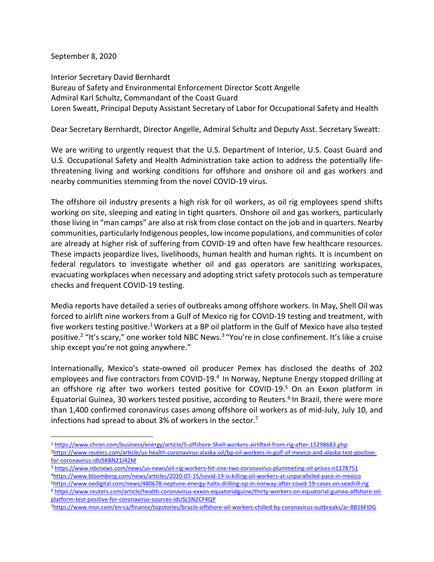September 8, 2020

Interior Secretary David Bernhardt Bureau of Safety and Environmental Enforcement Director Scott Angelle Admiral Karl Schultz, Commandant of the Coast Guard Loren Sweatt, Principal Deputy Assistant Secretary of Labor for Occupational Safety and Health

Dear Secretary Bernhardt, Director Angelle, Admiral Schultz and Deputy Asst. Secretary Sweatt:

We are writing to urgently request that the U.S. Department of Interior, U.S. Coast Guard and U.S. Occupational Safety and Health Administration take action to address the potentially lifethreatening living and working conditions for offshore and onshore oil and gas workers and nearby communities stemming from the novel COVID-19 virus.

The offshore oil industry presents a high risk for oil workers, as oil rig employees spend shifts working on site, sleeping and eating in tight quarters. Onshore oil and gas workers, particularly those living in "man camps" are also at risk from close contact on the job and in quarters. Nearby communities, particularly Indigenous peoples, low income populations, and communities of color are already at higher risk of suffering from COVID-19 and often have few healthcare resources. These impacts jeopardize lives, livelihoods, human health and human rights. It is incumbent on federal regulators to investigate whether oil and gas operators are sanitizing workspaces, evacuating workplaces when necessary and adopting strict safety protocols such as temperature checks and frequent COVID-19 testing.

Media reports have detailed a series of outbreaks among offshore workers. In May, Shell Oil was forced to airlift nine workers from a Gulf of Mexico rig for COVID-19 testing and treatment, with five workers testing positive.<sup>1</sup> Workers at a BP oil platform in the Gulf of Mexico have also tested positive.<sup>2</sup> "It's scary," one worker told NBC News.<sup>3</sup> "You're in close confinement. It's like a cruise ship except you're not going anywhere."

Internationally, Mexico's state-owned oil producer Pemex has disclosed the deaths of 202 employees and five contractors from COVID-19.<sup>4</sup> In Norway, Neptune Energy stopped drilling at an offshore rig after two workers tested positive for COVID-19.<sup>5</sup> On an Exxon platform in Equatorial Guinea, 30 workers tested positive, according to Reuters.<sup>6</sup> In Brazil, there were more than 1,400 confirmed coronavirus cases among offshore oil workers as of mid-July, July 10, and infections had spread to about 3% of workers in the sector.<sup>7</sup>

<sup>5</sup><https://www.oedigital.com/news/480678-neptune-energy-halts-drilling-op-in-norway-after-covid-19-cases-on-seadrill-rig> <sup>6</sup> [https://www.reuters.com/article/health-coronavirus-exxon-equatorialguine/thirty-workers-on-equatorial-guinea-offshore-oil](https://www.reuters.com/article/health-coronavirus-exxon-equatorialguine/thirty-workers-on-equatorial-guinea-offshore-oil-platform-test-positive-for-coronavirus-sources-idUSL5N2CF4QP)[platform-test-positive-for-coronavirus-sources-idUSL5N2CF4QP](https://www.reuters.com/article/health-coronavirus-exxon-equatorialguine/thirty-workers-on-equatorial-guinea-offshore-oil-platform-test-positive-for-coronavirus-sources-idUSL5N2CF4QP)

<sup>1</sup> <https://www.chron.com/business/energy/article/5-offshore-Shell-workers-airlifted-from-rig-after-15298683.php> 2[https://www.reuters.com/article/us-health-coronavirus-alaska-oil/bp-oil-workers-in-gulf-of-mexico-and-alaska-test-positive](https://www.reuters.com/article/us-health-coronavirus-alaska-oil/bp-oil-workers-in-gulf-of-mexico-and-alaska-test-positive-for-coronavirus-idUSKBN21J42M)[for-coronavirus-idUSKBN21J42M](https://www.reuters.com/article/us-health-coronavirus-alaska-oil/bp-oil-workers-in-gulf-of-mexico-and-alaska-test-positive-for-coronavirus-idUSKBN21J42M)

<sup>3</sup> <https://www.nbcnews.com/news/us-news/oil-rig-workers-hit-one-two-coronavirus-plummeting-oil-prices-n1178751> <sup>4</sup><https://www.bloomberg.com/news/articles/2020-07-15/covid-19-is-killing-oil-workers-at-unparalleled-pace-in-mexico>

<sup>7</sup><https://www.msn.com/en-ca/finance/topstories/brazils-offshore-oil-workers-chilled-by-coronavirus-outbreaks/ar-BB16FIDG>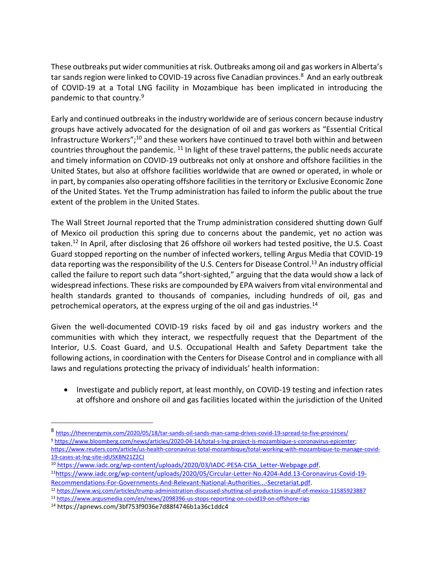These outbreaks put wider communities at risk. Outbreaks among oil and gas workers in Alberta's tar sands region were linked to COVID-19 across five Canadian provinces.<sup>8</sup> And an early outbreak of COVID-19 at a Total LNG facility in Mozambique has been implicated in introducing the pandemic to that country.<sup>9</sup>

Early and continued outbreaks in the industry worldwide are of serious concern because industry groups have actively advocated for the designation of oil and gas workers as "Essential Critical Infrastructure Workers";<sup>10</sup> and these workers have continued to travel both within and between countries throughout the pandemic. <sup>11</sup> In light of these travel patterns, the public needs accurate and timely information on COVID-19 outbreaks not only at onshore and offshore facilities in the United States, but also at offshore facilities worldwide that are owned or operated, in whole or in part, by companies also operating offshore facilities in the territory or Exclusive Economic Zone of the United States. Yet the Trump administration has failed to inform the public about the true extent of the problem in the United States.

The Wall Street Journal reported that the Trump administration considered shutting down Gulf of Mexico oil production this spring due to concerns about the pandemic, yet no action was taken.<sup>12</sup> In April, after disclosing that 26 offshore oil workers had tested positive, the U.S. Coast Guard stopped reporting on the number of infected workers, telling Argus Media that COVID-19 data reporting was the responsibility of the U.S. Centers for Disease Control.<sup>13</sup> An industry official called the failure to report such data "short-sighted," arguing that the data would show a lack of widespread infections. These risks are compounded by EPA waivers from vital environmental and health standards granted to thousands of companies, including hundreds of oil, gas and petrochemical operators, at the express urging of the oil and gas industries.<sup>14</sup>

Given the well-documented COVID-19 risks faced by oil and gas industry workers and the communities with which they interact, we respectfully request that the Department of the Interior, U.S. Coast Guard, and U.S. Occupational Health and Safety Department take the following actions, in coordination with the Centers for Disease Control and in compliance with all laws and regulations protecting the privacy of individuals' health information:

• Investigate and publicly report, at least monthly, on COVID-19 testing and infection rates at offshore and onshore oil and gas facilities located within the jurisdiction of the United

<sup>8&</sup>lt;br><https://theenergymix.com/2020/05/18/tar-sands-oil-sands-man-camp-drives-covid-19-spread-to-five-provinces/>

<sup>9</sup> [https://www.bloomberg.com/news/articles/2020-04-14/total-s-lng-project-is-mozambique-s-coronavirus-epicenter;](https://www.bloomberg.com/news/articles/2020-04-14/total-s-lng-project-is-mozambique-s-coronavirus-epicenter)

[https://www.reuters.com/article/us-health-coronavirus-total-mozambique/total-working-with-mozambique-to-manage-covid-](https://www.reuters.com/article/us-health-coronavirus-total-mozambique/total-working-with-mozambique-to-manage-covid-19-cases-at-lng-site-idUSKBN21Z2CJ)[19-cases-at-lng-site-idUSKBN21Z2CJ](https://www.reuters.com/article/us-health-coronavirus-total-mozambique/total-working-with-mozambique-to-manage-covid-19-cases-at-lng-site-idUSKBN21Z2CJ)

<sup>10</sup> [https://www.iadc.org/wp-content/uploads/2020/03/IADC-PESA-CISA\\_Letter-Webpage.pdf.](https://www.iadc.org/wp-content/uploads/2020/03/IADC-PESA-CISA_Letter-Webpage.pdf)

<sup>11</sup>[https://www.iadc.org/wp-content/uploads/2020/05/Circular-Letter-No.4204-Add.13-Coronavirus-Covid-19-](https://www.iadc.org/wp-content/uploads/2020/05/Circular-Letter-No.4204-Add.13-Coronavirus-Covid-19-Recommendations-For-Governments-And-Relevant-National-Authorities...-Secretariat.pdf) [Recommendations-For-Governments-And-Relevant-National-Authorities...-Secretariat.pdf.](https://www.iadc.org/wp-content/uploads/2020/05/Circular-Letter-No.4204-Add.13-Coronavirus-Covid-19-Recommendations-For-Governments-And-Relevant-National-Authorities...-Secretariat.pdf)

<sup>12</sup> <https://www.wsj.com/articles/trump-administration-discussed-shutting-oil-production-in-gulf-of-mexico-11585923887>

<sup>13</sup> <https://www.argusmedia.com/en/news/2098396-us-stops-reporting-on-covid19-on-offshore-rigs>

<sup>14</sup> https://apnews.com/3bf753f9036e7d88f4746b1a36c1ddc4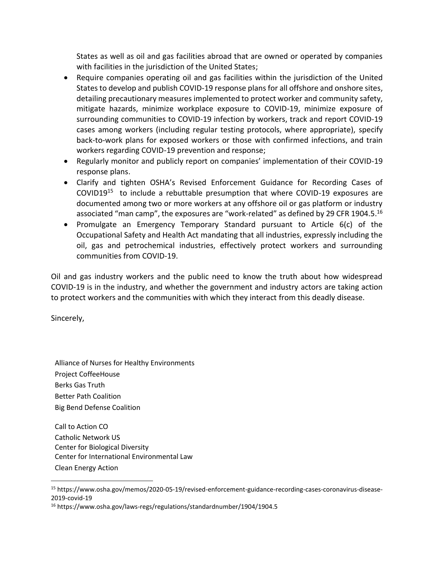States as well as oil and gas facilities abroad that are owned or operated by companies with facilities in the jurisdiction of the United States;

- Require companies operating oil and gas facilities within the jurisdiction of the United States to develop and publish COVID-19 response plans for all offshore and onshore sites, detailing precautionary measures implemented to protect worker and community safety, mitigate hazards, minimize workplace exposure to COVID-19, minimize exposure of surrounding communities to COVID-19 infection by workers, track and report COVID-19 cases among workers (including regular testing protocols, where appropriate), specify back-to-work plans for exposed workers or those with confirmed infections, and train workers regarding COVID-19 prevention and response;
- Regularly monitor and publicly report on companies' implementation of their COVID-19 response plans.
- Clarify and tighten OSHA's Revised Enforcement Guidance for Recording Cases of COVID19<sup>15</sup> to include a rebuttable presumption that where COVID-19 exposures are documented among two or more workers at any offshore oil or gas platform or industry associated "man camp", the exposures are "work-related" as defined by 29 CFR 1904.5. $^{16}$
- Promulgate an Emergency Temporary Standard pursuant to Article 6(c) of the Occupational Safety and Health Act mandating that all industries, expressly including the oil, gas and petrochemical industries, effectively protect workers and surrounding communities from COVID-19.

Oil and gas industry workers and the public need to know the truth about how widespread COVID-19 is in the industry, and whether the government and industry actors are taking action to protect workers and the communities with which they interact from this deadly disease.

Sincerely,

Alliance of Nurses for Healthy Environments Project CoffeeHouse Berks Gas Truth Better Path Coalition Big Bend Defense Coalition

Call to Action CO Catholic Network US Center for Biological Diversity Center for International Environmental Law Clean Energy Action

<sup>15</sup> https://www.osha.gov/memos/2020-05-19/revised-enforcement-guidance-recording-cases-coronavirus-disease-2019-covid-19

<sup>16</sup> https://www.osha.gov/laws-regs/regulations/standardnumber/1904/1904.5